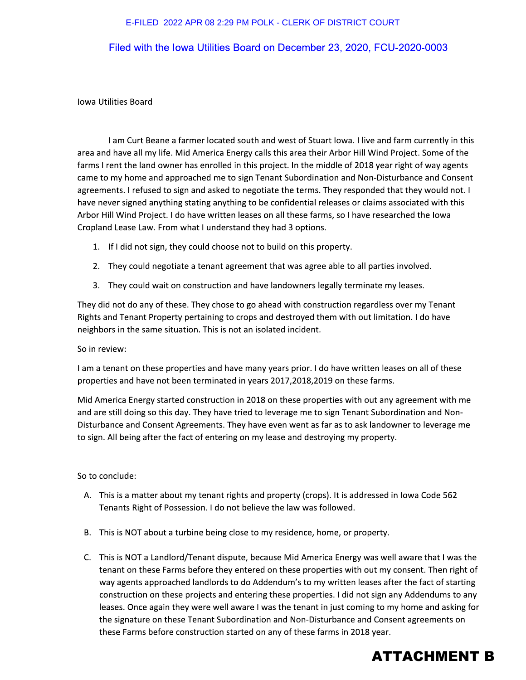### E-FILED 2022 APR 08 2:29 PM POLK - CLERK OF DISTRICT COURT

## Filed with the lowa Utilities Board on December 23, 2020, FCU-2020-0003

#### **Iowa Utilities Board**

I am Curt Beane a farmer located south and west of Stuart Iowa. I live and farm currently in this area and have all my life. Mid America Energy calls this area their Arbor Hill Wind Project. Some of the farms I rent the land owner has enrolled in this project. In the middle of 2018 year right of way agents came to my home and approached me to sign Tenant Subordination and Non-Disturbance and Consent agreements. I refused to sign and asked to negotiate the terms. They responded that they would not. I have never signed anything stating anything to be confidential releases or claims associated with this Arbor Hill Wind Project. I do have written leases on all these farms, so I have researched the Iowa Cropland Lease Law. From what I understand they had 3 options.

- 1. If I did not sign, they could choose not to build on this property.
- 2. They could negotiate a tenant agreement that was agree able to all parties involved.
- 3. They could wait on construction and have landowners legally terminate my leases.

They did not do any of these. They chose to go ahead with construction regardless over my Tenant Rights and Tenant Property pertaining to crops and destroyed them with out limitation. I do have neighbors in the same situation. This is not an isolated incident.

#### So in review:

I am a tenant on these properties and have many years prior. I do have written leases on all of these properties and have not been terminated in years 2017, 2018, 2019 on these farms.

Mid America Energy started construction in 2018 on these properties with out any agreement with me and are still doing so this day. They have tried to leverage me to sign Tenant Subordination and Non-Disturbance and Consent Agreements. They have even went as far as to ask landowner to leverage me to sign. All being after the fact of entering on my lease and destroying my property.

So to conclude:

- A. This is a matter about my tenant rights and property (crops). It is addressed in lowa Code 562 Tenants Right of Possession. I do not believe the law was followed.
- B. This is NOT about a turbine being close to my residence, home, or property.
- C. This is NOT a Landlord/Tenant dispute, because Mid America Energy was well aware that I was the tenant on these Farms before they entered on these properties with out my consent. Then right of way agents approached landlords to do Addendum's to my written leases after the fact of starting construction on these projects and entering these properties. I did not sign any Addendums to any leases. Once again they were well aware I was the tenant in just coming to my home and asking for the signature on these Tenant Subordination and Non-Disturbance and Consent agreements on these Farms before construction started on any of these farms in 2018 year.

# **ATTACHMENT B**